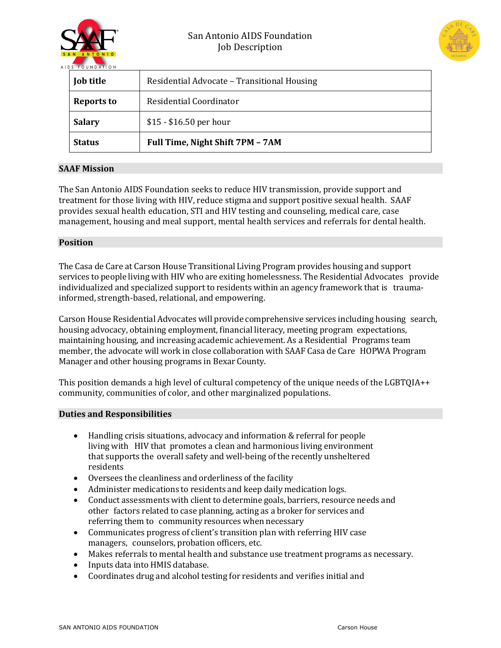



| Job title     | Residential Advocate - Transitional Housing |
|---------------|---------------------------------------------|
| Reports to    | Residential Coordinator                     |
| <b>Salary</b> | $$15 - $16.50$ per hour                     |
| <b>Status</b> | Full Time, Night Shift 7PM - 7AM            |

# **SAAF Mission**

The San Antonio AIDS Foundation seeks to reduce HIV transmission, provide support and treatment for those living with HIV, reduce stigma and support positive sexual health. SAAF provides sexual health education, STI and HIV testing and counseling, medical care, case management, housing and meal support, mental health services and referrals for dental health.

## **Position**

The Casa de Care at Carson House Transitional Living Program provides housing and support services to people living with HIV who are exiting homelessness. The Residential Advocates provide individualized and specialized support to residents within an agency framework that is traumainformed, strength-based, relational, and empowering.

Carson House Residential Advocates will provide comprehensive services including housing search, housing advocacy, obtaining employment, financial literacy, meeting program expectations, maintaining housing, and increasing academic achievement. As a Residential Programs team member, the advocate will work in close collaboration with SAAF Casa de Care HOPWA Program Manager and other housing programs in Bexar County.

This position demands a high level of cultural competency of the unique needs of the LGBTQIA++ community, communities of color, and other marginalized populations.

## **Duties and Responsibilities**

- Handling crisis situations, advocacy and information & referral for people living with HIV that promotes a clean and harmonious living environment that supports the overall safety and well-being of the recently unsheltered residents
- Oversees the cleanliness and orderliness of the facility
- Administer medications to residents and keep daily medication logs.
- Conduct assessments with client to determine goals, barriers, resource needs and other factors related to case planning, acting as a broker for services and referring them to community resources when necessary
- Communicates progress of client's transition plan with referring HIV case managers, counselors, probation officers, etc.
- Makes referrals to mental health and substance use treatment programs as necessary.
- Inputs data into HMIS database.
- Coordinates drug and alcohol testing for residents and verifies initial and